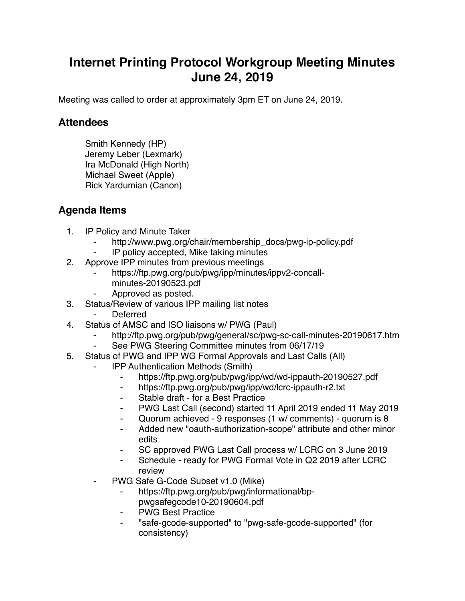## **Internet Printing Protocol Workgroup Meeting Minutes June 24, 2019**

Meeting was called to order at approximately 3pm ET on June 24, 2019.

## **Attendees**

Smith Kennedy (HP) Jeremy Leber (Lexmark) Ira McDonald (High North) Michael Sweet (Apple) Rick Yardumian (Canon)

## **Agenda Items**

- 1. IP Policy and Minute Taker
	- http://www.pwg.org/chair/membership\_docs/pwg-ip-policy.pdf
	- IP policy accepted, Mike taking minutes
- 2. Approve IPP minutes from previous meetings
	- https://ftp.pwg.org/pub/pwg/ipp/minutes/ippv2-concallminutes-20190523.pdf
	- ⁃ Approved as posted.
- 3. Status/Review of various IPP mailing list notes
	- ⁃ Deferred
- 4. Status of AMSC and ISO liaisons w/ PWG (Paul)
	- ⁃ http://ftp.pwg.org/pub/pwg/general/sc/pwg-sc-call-minutes-20190617.htm
	- See PWG Steering Committee minutes from 06/17/19
- 5. Status of PWG and IPP WG Formal Approvals and Last Calls (All)
	- ⁃ IPP Authentication Methods (Smith)
		- ⁃ https://ftp.pwg.org/pub/pwg/ipp/wd/wd-ippauth-20190527.pdf
		- ⁃ https://ftp.pwg.org/pub/pwg/ipp/wd/lcrc-ippauth-r2.txt
		- ⁃ Stable draft for a Best Practice
		- ⁃ PWG Last Call (second) started 11 April 2019 ended 11 May 2019
		- ⁃ Quorum achieved 9 responses (1 w/ comments) quorum is 8
		- Added new "oauth-authorization-scope" attribute and other minor edits
		- ⁃ SC approved PWG Last Call process w/ LCRC on 3 June 2019
		- Schedule ready for PWG Formal Vote in Q2 2019 after LCRC review
	- PWG Safe G-Code Subset v1.0 (Mike)
		- https://ftp.pwg.org/pub/pwg/informational/bppwgsafegcode10-20190604.pdf
		- **PWG Best Practice**
		- ⁃ "safe-gcode-supported" to "pwg-safe-gcode-supported" (for consistency)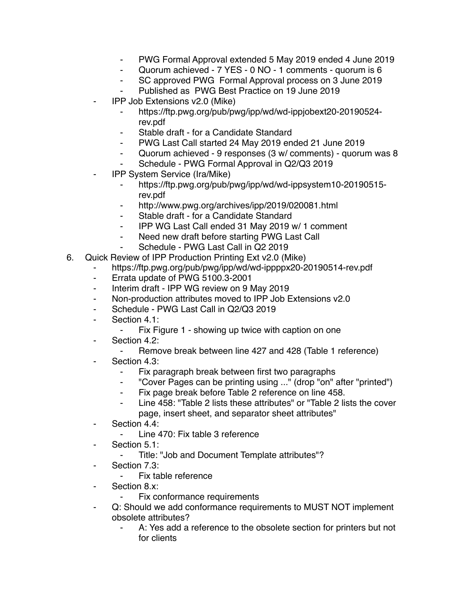- ⁃ PWG Formal Approval extended 5 May 2019 ended 4 June 2019
- ⁃ Quorum achieved 7 YES 0 NO 1 comments quorum is 6
- ⁃ SC approved PWG Formal Approval process on 3 June 2019
- Published as PWG Best Practice on 19 June 2019
- ⁃ IPP Job Extensions v2.0 (Mike)
	- ⁃ https://ftp.pwg.org/pub/pwg/ipp/wd/wd-ippjobext20-20190524 rev.pdf
	- Stable draft for a Candidate Standard
	- PWG Last Call started 24 May 2019 ended 21 June 2019
	- ⁃ Quorum achieved 9 responses (3 w/ comments) quorum was 8
	- Schedule PWG Formal Approval in Q2/Q3 2019
- ⁃ IPP System Service (Ira/Mike)
	- ⁃ https://ftp.pwg.org/pub/pwg/ipp/wd/wd-ippsystem10-20190515 rev.pdf
	- ⁃ http://www.pwg.org/archives/ipp/2019/020081.html
	- Stable draft for a Candidate Standard
	- ⁃ IPP WG Last Call ended 31 May 2019 w/ 1 comment
	- ⁃ Need new draft before starting PWG Last Call
	- Schedule PWG Last Call in Q2 2019
- 6. Quick Review of IPP Production Printing Ext v2.0 (Mike)
	- https://ftp.pwg.org/pub/pwg/ipp/wd/wd-ippppx20-20190514-rev.pdf
	- ⁃ Errata update of PWG 5100.3-2001
	- Interim draft IPP WG review on 9 May 2019
	- ⁃ Non-production attributes moved to IPP Job Extensions v2.0
	- ⁃ Schedule PWG Last Call in Q2/Q3 2019
	- ⁃ Section 4.1:
		- ⁃ Fix Figure 1 showing up twice with caption on one
	- ⁃ Section 4.2:
		- ⁃ Remove break between line 427 and 428 (Table 1 reference)
	- Section 4.3:
		- ⁃ Fix paragraph break between first two paragraphs
		- ⁃ "Cover Pages can be printing using ..." (drop "on" after "printed")
		- Fix page break before Table 2 reference on line 458.
		- ⁃ Line 458: "Table 2 lists these attributes" or "Table 2 lists the cover page, insert sheet, and separator sheet attributes"
	- ⁃ Section 4.4:
		- Line 470: Fix table 3 reference
	- ⁃ Section 5.1:
		- ⁃ Title: "Job and Document Template attributes"?
	- ⁃ Section 7.3:
		- Fix table reference
	- ⁃ Section 8.x:
		- Fix conformance requirements
	- Q: Should we add conformance requirements to MUST NOT implement obsolete attributes?
		- A: Yes add a reference to the obsolete section for printers but not for clients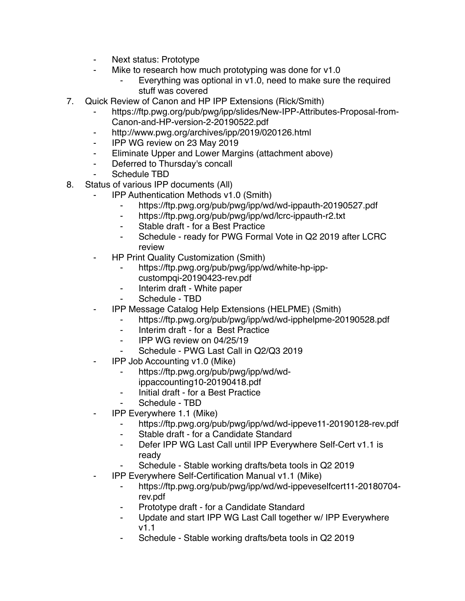- Next status: Prototype
- Mike to research how much prototyping was done for v1.0
	- Everything was optional in v1.0, need to make sure the required stuff was covered
- 7. Quick Review of Canon and HP IPP Extensions (Rick/Smith)
	- https://ftp.pwg.org/pub/pwg/ipp/slides/New-IPP-Attributes-Proposal-from-Canon-and-HP-version-2-20190522.pdf
	- ⁃ http://www.pwg.org/archives/ipp/2019/020126.html
	- ⁃ IPP WG review on 23 May 2019
	- ⁃ Eliminate Upper and Lower Margins (attachment above)
	- ⁃ Deferred to Thursday's concall
	- Schedule TBD
- 8. Status of various IPP documents (All)
	- ⁃ IPP Authentication Methods v1.0 (Smith)
		- ⁃ https://ftp.pwg.org/pub/pwg/ipp/wd/wd-ippauth-20190527.pdf
		- ⁃ https://ftp.pwg.org/pub/pwg/ipp/wd/lcrc-ippauth-r2.txt
		- ⁃ Stable draft for a Best Practice
		- Schedule ready for PWG Formal Vote in Q2 2019 after LCRC review
	- ⁃ HP Print Quality Customization (Smith)
		- ⁃ https://ftp.pwg.org/pub/pwg/ipp/wd/white-hp-ippcustompqi-20190423-rev.pdf
		- Interim draft White paper
		- Schedule TBD
	- ⁃ IPP Message Catalog Help Extensions (HELPME) (Smith)
		- ⁃ https://ftp.pwg.org/pub/pwg/ipp/wd/wd-ipphelpme-20190528.pdf
		- ⁃ Interim draft for a Best Practice
		- ⁃ IPP WG review on 04/25/19
		- Schedule PWG Last Call in Q2/Q3 2019
	- ⁃ IPP Job Accounting v1.0 (Mike)
		- ⁃ https://ftp.pwg.org/pub/pwg/ipp/wd/wd-
		- ippaccounting10-20190418.pdf
		- ⁃ Initial draft for a Best Practice
		- Schedule TBD
	- **IPP Everywhere 1.1 (Mike)** 
		- https://ftp.pwg.org/pub/pwg/ipp/wd/wd-ippeve11-20190128-rev.pdf
		- ⁃ Stable draft for a Candidate Standard
		- ⁃ Defer IPP WG Last Call until IPP Everywhere Self-Cert v1.1 is ready
		- Schedule Stable working drafts/beta tools in Q2 2019
	- ⁃ IPP Everywhere Self-Certification Manual v1.1 (Mike)
		- ⁃ https://ftp.pwg.org/pub/pwg/ipp/wd/wd-ippeveselfcert11-20180704 rev.pdf
		- Prototype draft for a Candidate Standard
		- ⁃ Update and start IPP WG Last Call together w/ IPP Everywhere v1.1
		- Schedule Stable working drafts/beta tools in Q2 2019